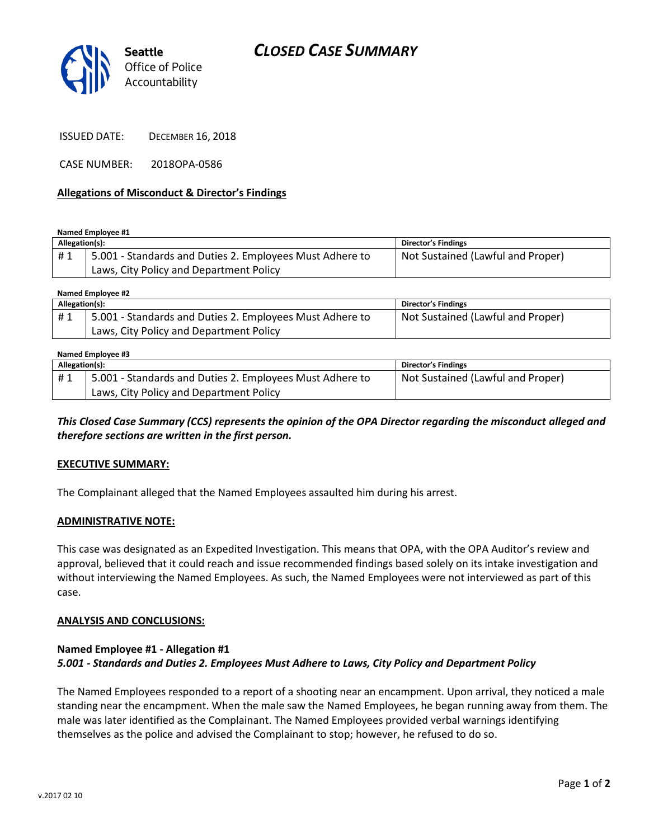# *CLOSED CASE SUMMARY*



ISSUED DATE: DECEMBER 16, 2018

CASE NUMBER: 2018OPA-0586

#### **Allegations of Misconduct & Director's Findings**

**Named Employee #1**

| Allegation(s): |                                                          | Director's Findings               |
|----------------|----------------------------------------------------------|-----------------------------------|
| #1             | 5.001 - Standards and Duties 2. Employees Must Adhere to | Not Sustained (Lawful and Proper) |
|                | Laws, City Policy and Department Policy                  |                                   |

**Named Employee #2**

| Allegation(s): |                                                          | <b>Director's Findings</b>        |  |  |
|----------------|----------------------------------------------------------|-----------------------------------|--|--|
| #1             | 5.001 - Standards and Duties 2. Employees Must Adhere to | Not Sustained (Lawful and Proper) |  |  |
|                | Laws, City Policy and Department Policy                  |                                   |  |  |

#### **Named Employee #3**

| Allegation(s): |                                                          | Director's Findings               |
|----------------|----------------------------------------------------------|-----------------------------------|
| #1             | 5.001 - Standards and Duties 2. Employees Must Adhere to | Not Sustained (Lawful and Proper) |
|                | Laws, City Policy and Department Policy                  |                                   |

*This Closed Case Summary (CCS) represents the opinion of the OPA Director regarding the misconduct alleged and therefore sections are written in the first person.* 

#### **EXECUTIVE SUMMARY:**

The Complainant alleged that the Named Employees assaulted him during his arrest.

#### **ADMINISTRATIVE NOTE:**

This case was designated as an Expedited Investigation. This means that OPA, with the OPA Auditor's review and approval, believed that it could reach and issue recommended findings based solely on its intake investigation and without interviewing the Named Employees. As such, the Named Employees were not interviewed as part of this case.

#### **ANALYSIS AND CONCLUSIONS:**

### **Named Employee #1 - Allegation #1** *5.001 - Standards and Duties 2. Employees Must Adhere to Laws, City Policy and Department Policy*

The Named Employees responded to a report of a shooting near an encampment. Upon arrival, they noticed a male standing near the encampment. When the male saw the Named Employees, he began running away from them. The male was later identified as the Complainant. The Named Employees provided verbal warnings identifying themselves as the police and advised the Complainant to stop; however, he refused to do so.